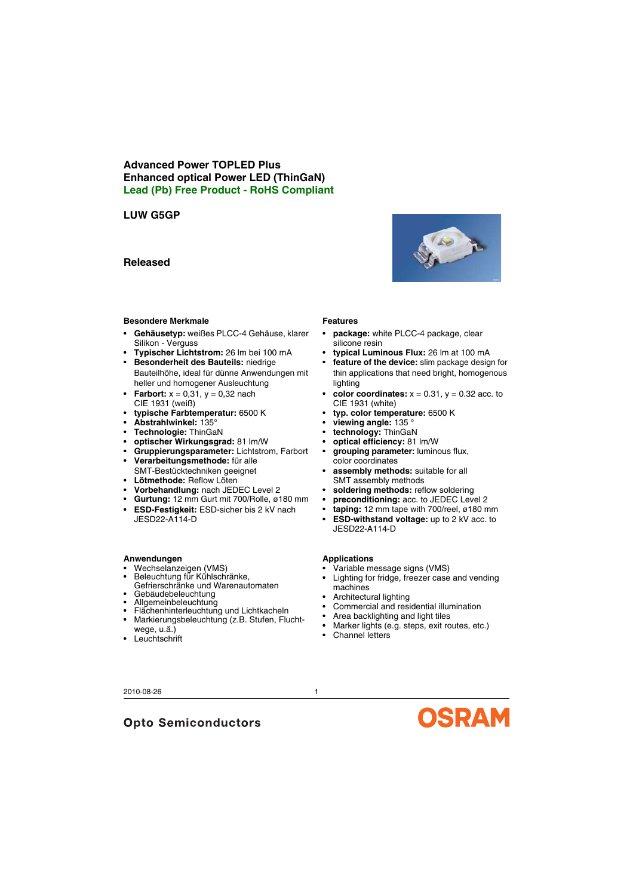## **Advanced Power TOPLED Plus Enhanced optical Power LED (ThinGaN) Lead (Pb) Free Product - RoHS Compliant**

# **LUW G5GP**

## **Released**

### **Besondere Merkmale**

- **Gehäusetyp:** weißes PLCC-4 Gehäuse, klarer Silikon - Verguss
- **Typischer Lichtstrom:** 26 lm bei 100 mA
- **Besonderheit des Bauteils:** niedrige Bauteilhöhe, ideal für dünne Anwendungen mit heller und homogener Ausleuchtung
- **Farbort:**  $x = 0.31$ ,  $y = 0.32$  nach CIE 1931 (weiß)
- **typische Farbtemperatur:** 6500 K
- **Abstrahlwinkel:** 135°
- **Technologie:** ThinGaN
- **optischer Wirkungsgrad:** 81 lm/W
- **Gruppierungsparameter:** Lichtstrom, Farbort
- **Verarbeitungsmethode:** für alle SMT-Bestücktechniken geeignet
- **Lötmethode:** Reflow Löten
- **Vorbehandlung:** nach JEDEC Level 2
- **Gurtung:** 12 mm Gurt mit 700/Rolle, ø180 mm
- **ESD-Festigkeit:** ESD-sicher bis 2 kV nach JESD22-A114-D

### **Anwendungen**

- Wechselanzeigen (VMS)
- Beleuchtung für Kühlschränke, Gefrierschränke und Warenautomaten

**Opto Semiconductors** 

- Gebäudebeleuchtung
- Allgemeinbeleuchtung
- Flächenhinterleuchtung und Lichtkacheln • Markierungsbeleuchtung (z.B. Stufen, Flucht-
- wege, u.ä.)
- Leuchtschrift

# **Features**

- **package:** white PLCC-4 package, clear silicone resin
- **typical Luminous Flux:** 26 lm at 100 mA
- **feature of the device:** slim package design for thin applications that need bright, homogenous lighting
- **color coordinates:**  $x = 0.31$ ,  $y = 0.32$  acc. to CIE 1931 (white)
- **typ. color temperature:** 6500 K
- **viewing angle:** 135 °
- **technology:** ThinGaN
- **optical efficiency:** 81 lm/W
- **grouping parameter:** luminous flux, color coordinates
- **assembly methods:** suitable for all SMT assembly methods
- soldering methods: reflow soldering
- **preconditioning:** acc. to JEDEC Level 2
- **taping:** 12 mm tape with 700/reel, ø180 mm
- **ESD-withstand voltage:** up to 2 kV acc. to JESD22-A114-D

### **Applications**

- Variable message signs (VMS)
- Lighting for fridge, freezer case and vending machines
- Architectural lighting
- Commercial and residential illumination
- Area backlighting and light tiles
- Marker lights (e.g. steps, exit routes, etc.)
- Channel letters

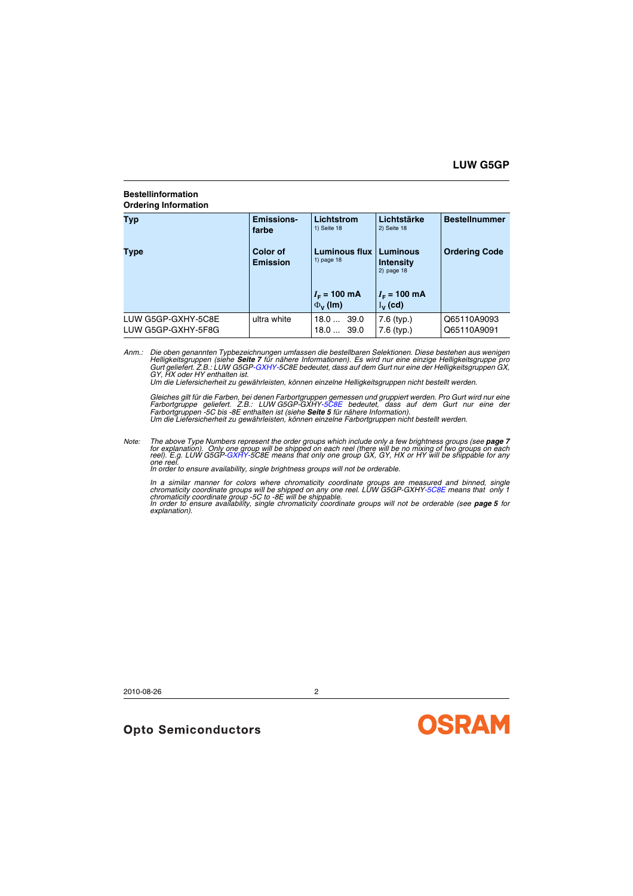### **Bestellinformation Ordering Information**

| Typ                                      | <b>Emissions-</b><br>farbe         | Lichtstrom<br>1) Seite 18               | Lichtstärke<br>2) Seite 18                    | <b>Bestellnummer</b>       |
|------------------------------------------|------------------------------------|-----------------------------------------|-----------------------------------------------|----------------------------|
| Type                                     | <b>Color of</b><br><b>Emission</b> | <b>Luminous flux</b><br>1) page 18      | Luminous<br><b>Intensity</b><br>$2)$ page 18  | <b>Ordering Code</b>       |
|                                          |                                    | $I_{\rm F}$ = 100 mA<br>$\Phi_{V}$ (lm) | $I_{\rm F}$ = 100 mA<br>$I_{\mathsf{v}}$ (cd) |                            |
| LUW G5GP-GXHY-5C8E<br>LUW G5GP-GXHY-5F8G | ultra white                        | 39.0<br>18.0<br>$18.0$ 39.0             | 7.6 (typ.)<br>$7.6$ (typ.)                    | Q65110A9093<br>Q65110A9091 |

Anm.: Die oben genannten Typbezeichnungen umfassen die bestellbaren Selektionen. Diese bestehen aus wenigen<br>Helligkeitsgruppen (siehe **[Seite](#page-6-0) 7** für nähere Informationen). Es wird nur eine einzige Helligkeitsgruppe pro *Gurt geliefert. Z.B.: LUW G5GP-GXHY-5C8E bedeutet, dass auf dem Gurt nur eine der Helligkeitsgruppen GX, GY, HX oder HY enthalten ist.*

*Um die Liefersicherheit zu gewährleisten, können einzelne Helligkeitsgruppen nicht bestellt werden.*

*Gleiches gilt für die Farben, bei denen Farbortgruppen gemessen und gruppiert werden. Pro Gurt wird nur eine Farbortgruppe geliefert. Z.B.: LUW G5GP-GXHY-5C8E bedeutet, dass auf dem Gurt nur eine der Farbortgruppen -5C bis -8E enthalten ist (siehe [Seite](#page-4-0) 5 für nähere Information). Um die Liefersicherheit zu gewährleisten, können einzelne Farbortgruppen nicht bestellt werden.*

Note: The above Type Numbers represent the order groups which include only a few brightness groups (see **[page](#page-6-0) 7**<br>for explanation). Only one group will be shipped on each reel (there will be no mixing of two groups on each<br>

*In order to ensure availability, single brightness groups will not be orderable.*

In a similar manner for colors where chromaticity coordinate groups are measured and binned, single<br>chromaticity coordinate groups will be shipped on any one reel. LUW G5GP-GXHY-5C8E means that only 1<br>chromaticity coordina *In order to ensure availability, single chromaticity coordinate groups will not be orderable (see [page](#page-4-0) 5 for* 

*explanation).*

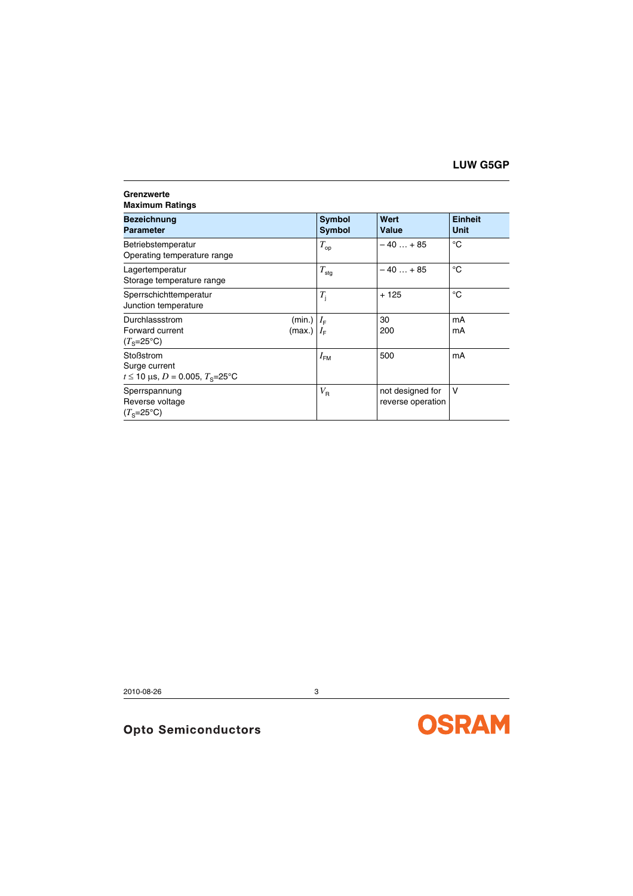#### **Grenzwerte Maximum Ratings**

| Bezeichnung<br><b>Parameter</b>                                                                   | <b>Symbol</b><br>Symbol | Wert<br>Value                         | <b>Einheit</b><br><b>Unit</b> |
|---------------------------------------------------------------------------------------------------|-------------------------|---------------------------------------|-------------------------------|
| Betriebstemperatur<br>Operating temperature range                                                 | $T_{\rm op}$            | $-40+85$                              | °C                            |
| Lagertemperatur<br>Storage temperature range                                                      | $T_{\text{stg}}$        | $-40+85$                              | °C                            |
| Sperrschichttemperatur<br>Junction temperature                                                    | $T_{\rm i}$             | $+125$                                | $^{\circ}C$                   |
| Durchlassstrom<br>(min.) $ I_{F} $<br>Forward current<br>(max.) $ I_{\mathsf{F}} $<br>$(Ts=25°C)$ |                         | 30<br>200                             | mA<br>mA                      |
| Stoßstrom<br>Surge current<br>$t \le 10$ µs, $D = 0.005$ , $T_s = 25$ °C                          | $I_{\text{FM}}$         | 500                                   | mA                            |
| Sperrspannung<br>Reverse voltage<br>$(Te=25oC)$                                                   | $V_{\sf R}$             | not designed for<br>reverse operation | v                             |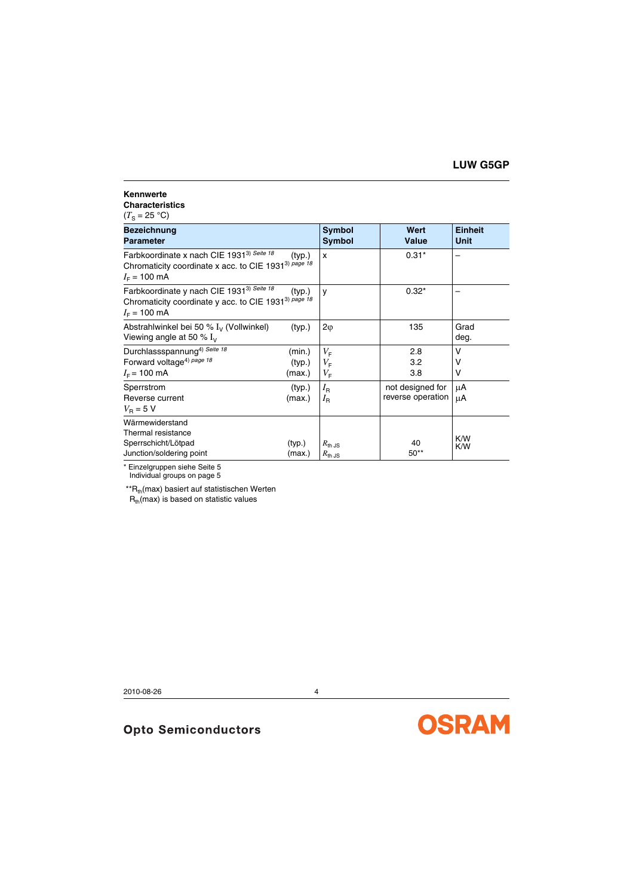#### **Kennwerte Characteristics**

 $(T_{\rm S} = 25 \text{ °C})$ 

| <b>Bezeichnung</b><br><b>Parameter</b>                                                                                                              | Symbol<br>Symbol                                                        | Wert<br><b>Value</b>                  | <b>Einheit</b><br><b>Unit</b> |
|-----------------------------------------------------------------------------------------------------------------------------------------------------|-------------------------------------------------------------------------|---------------------------------------|-------------------------------|
| Farbkoordinate x nach CIE 1931 <sup>3) Seite 18</sup><br>Chromaticity coordinate x acc. to CIE 1931 <sup>3) page 18</sup><br>$I_F = 100 \text{ mA}$ | (typ.)<br>x                                                             | $0.31*$                               |                               |
| Farbkoordinate y nach CIE 1931 <sup>3)</sup> Seite 18<br>Chromaticity coordinate y acc. to CIE 1931 <sup>3)</sup> page 18<br>$I_F = 100 \text{ mA}$ | (typ.)<br>y                                                             | $0.32*$                               |                               |
| Abstrahlwinkel bei 50 % $I_{\nu}$ (Vollwinkel)<br>Viewing angle at 50 $\%$ $I_{\nu}$                                                                | (typ.)<br>$2\varphi$                                                    | 135                                   | Grad<br>deg.                  |
| Durchlassspannung <sup>4)</sup> Seite 18<br>Forward voltage <sup>4)</sup> page 18<br>$I_F$ = 100 mA<br>(max.)                                       | $V_{\rm F}$<br>(min.)<br>$V_{\mathsf{F}}$<br>(typ.)<br>$V_{\mathsf{F}}$ | 2.8<br>3.2<br>3.8                     | v<br>ν<br>v                   |
| Sperrstrom<br>Reverse current<br>(max.)<br>$V_{\rm B}$ = 5 V                                                                                        | $I_{\rm R}$<br>(typ.)<br>$I_{\rm R}$                                    | not designed for<br>reverse operation | μA<br>μA                      |
| Wärmewiderstand<br>Thermal resistance<br>Sperrschicht/Lötpad<br>(typ.)<br>Junction/soldering point<br>(max.)                                        | $R_{\text{th,JS}}$<br>$R_{th,JS}$                                       | 40<br>$50**$                          | K/W<br>K/W                    |

\* Einzelgruppen siehe Seite 5 Individual groups on page 5

 $*R_{th}$ (max) basiert auf statistischen Werten

 $R_{th}$ (max) is based on statistic values

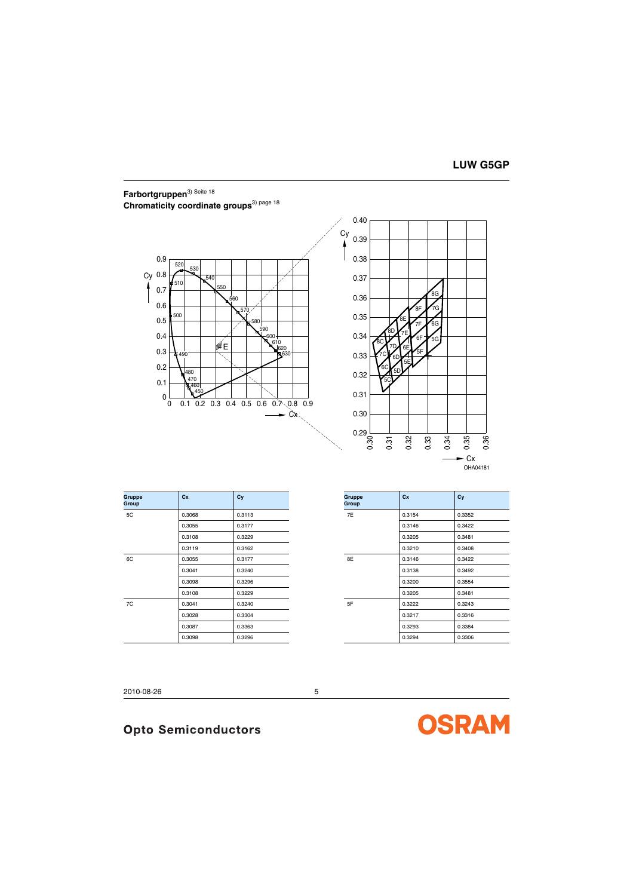# <span id="page-4-0"></span>**Farbortgruppen**3) Seite <sup>18</sup> Chromaticity coordinate groups<sup>3) page 18</sup>



OHA04181

| <b>Gruppe</b><br>Group | Cx     | Cy     | <b>Gruppe</b><br>Group | Cx     | Cy     |
|------------------------|--------|--------|------------------------|--------|--------|
| 5C                     | 0.3068 | 0.3113 | 7E                     | 0.3154 | 0.3352 |
|                        | 0.3055 | 0.3177 |                        | 0.3146 | 0.3422 |
|                        | 0.3108 | 0.3229 |                        | 0.3205 | 0.3481 |
|                        | 0.3119 | 0.3162 |                        | 0.3210 | 0.3408 |
| 6C                     | 0.3055 | 0.3177 | 8E                     | 0.3146 | 0.3422 |
|                        | 0.3041 | 0.3240 |                        | 0.3138 | 0.3492 |
|                        | 0.3098 | 0.3296 |                        | 0.3200 | 0.3554 |
|                        | 0.3108 | 0.3229 |                        | 0.3205 | 0.3481 |
| 7C                     | 0.3041 | 0.3240 | 5F                     | 0.3222 | 0.3243 |
|                        | 0.3028 | 0.3304 |                        | 0.3217 | 0.3316 |
|                        | 0.3087 | 0.3363 |                        | 0.3293 | 0.3384 |
|                        | 0.3098 | 0.3296 |                        | 0.3294 | 0.3306 |

|        | Group | Cx                  | Cy     |
|--------|-------|---------------------|--------|
| 0.3113 | 7E    | 0.3154              | 0.3352 |
| 0.3177 |       | 0.3146              | 0.3422 |
| 0.3229 |       | 0.3205              | 0.3481 |
| 0.3162 |       | 0.3210              | 0.3408 |
| 0.3177 | 8E    | 0.3146              | 0.3422 |
| 0.3240 |       | 0.3138              | 0.3492 |
| 0.3296 |       | 0.3200              | 0.3554 |
| 0.3229 |       | 0.3205              | 0.3481 |
| 0.3240 | 5F    | 0.3222              | 0.3243 |
| 0.3304 |       | 0.3217              | 0.3316 |
| 0.3363 |       | 0.3293              | 0.3384 |
| 0.3296 |       | 0.3294              | 0.3306 |
|        |       | Cy<br><b>Gruppe</b> |        |

2010-08-26 5

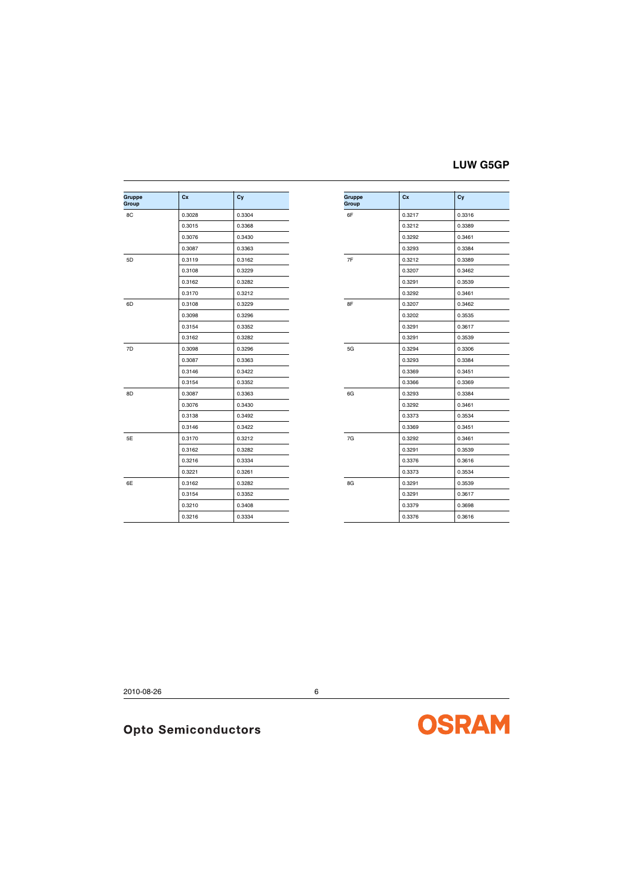# **LUW G5GP**

| Gruppe<br>Group | cx     | Cy     | <b>Gruppe</b><br>Group | Cx     |
|-----------------|--------|--------|------------------------|--------|
| 8C              | 0.3028 | 0.3304 | 6F                     | 0.3217 |
|                 | 0.3015 | 0.3368 |                        | 0.3212 |
|                 | 0.3076 | 0.3430 |                        | 0.3292 |
|                 | 0.3087 | 0.3363 |                        | 0.3293 |
| 5D              | 0.3119 | 0.3162 | 7F                     | 0.3212 |
|                 | 0.3108 | 0.3229 |                        | 0.3207 |
|                 | 0.3162 | 0.3282 |                        | 0.3291 |
|                 | 0.3170 | 0.3212 |                        | 0.3292 |
| 6D              | 0.3108 | 0.3229 | 8F                     | 0.3207 |
|                 | 0.3098 | 0.3296 |                        | 0.3202 |
|                 | 0.3154 | 0.3352 |                        | 0.3291 |
|                 | 0.3162 | 0.3282 |                        | 0.3291 |
| 7D              | 0.3098 | 0.3296 | 5G                     | 0.3294 |
|                 | 0.3087 | 0.3363 |                        | 0.3293 |
|                 | 0.3146 | 0.3422 |                        | 0.3369 |
|                 | 0.3154 | 0.3352 |                        | 0.3366 |
| 8D              | 0.3087 | 0.3363 | 6G                     | 0.3293 |
|                 | 0.3076 | 0.3430 |                        | 0.3292 |
|                 | 0.3138 | 0.3492 |                        | 0.3373 |
|                 | 0.3146 | 0.3422 |                        | 0.3369 |
| 5E              | 0.3170 | 0.3212 | 7G                     | 0.3292 |
|                 | 0.3162 | 0.3282 |                        | 0.3291 |
|                 | 0.3216 | 0.3334 |                        | 0.3376 |
|                 | 0.3221 | 0.3261 |                        | 0.3373 |
| 6E              | 0.3162 | 0.3282 | 8G                     | 0.3291 |
|                 | 0.3154 | 0.3352 |                        | 0.3291 |
|                 | 0.3210 | 0.3408 |                        | 0.3379 |
|                 | 0.3216 | 0.3334 |                        | 0.3376 |
|                 |        |        |                        |        |

| Cx     | Cy     | Gruppe<br>Group | Cx     | Cy     |
|--------|--------|-----------------|--------|--------|
| 0.3028 | 0.3304 | 6F              | 0.3217 | 0.3316 |
| 0.3015 | 0.3368 |                 | 0.3212 | 0.3389 |
| 0.3076 | 0.3430 |                 | 0.3292 | 0.3461 |
| 0.3087 | 0.3363 |                 | 0.3293 | 0.3384 |
| 0.3119 | 0.3162 | 7F              | 0.3212 | 0.3389 |
| 0.3108 | 0.3229 |                 | 0.3207 | 0.3462 |
| 0.3162 | 0.3282 |                 | 0.3291 | 0.3539 |
| 0.3170 | 0.3212 |                 | 0.3292 | 0.3461 |
| 0.3108 | 0.3229 | 8F              | 0.3207 | 0.3462 |
| 0.3098 | 0.3296 |                 | 0.3202 | 0.3535 |
| 0.3154 | 0.3352 |                 | 0.3291 | 0.3617 |
| 0.3162 | 0.3282 |                 | 0.3291 | 0.3539 |
| 0.3098 | 0.3296 | 5G              | 0.3294 | 0.3306 |
| 0.3087 | 0.3363 |                 | 0.3293 | 0.3384 |
| 0.3146 | 0.3422 |                 | 0.3369 | 0.3451 |
| 0.3154 | 0.3352 |                 | 0.3366 | 0.3369 |
| 0.3087 | 0.3363 | 6G              | 0.3293 | 0.3384 |
| 0.3076 | 0.3430 |                 | 0.3292 | 0.3461 |
| 0.3138 | 0.3492 |                 | 0.3373 | 0.3534 |
| 0.3146 | 0.3422 |                 | 0.3369 | 0.3451 |
| 0.3170 | 0.3212 | 7G              | 0.3292 | 0.3461 |
| 0.3162 | 0.3282 |                 | 0.3291 | 0.3539 |
| 0.3216 | 0.3334 |                 | 0.3376 | 0.3616 |
| 0.3221 | 0.3261 |                 | 0.3373 | 0.3534 |
| 0.3162 | 0.3282 | 8G              | 0.3291 | 0.3539 |
| 0.3154 | 0.3352 |                 | 0.3291 | 0.3617 |
| 0.3210 | 0.3408 |                 | 0.3379 | 0.3698 |
| 0.3216 | 0.3334 |                 | 0.3376 | 0.3616 |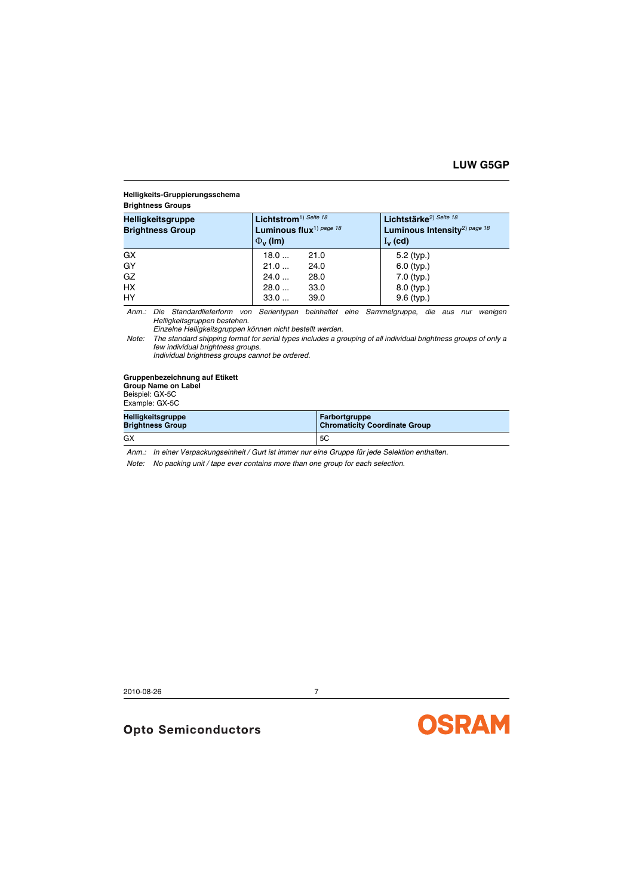#### <span id="page-6-0"></span>**Helligkeits-Gruppierungsschema**

#### **Brightness Groups**

| <b>Helligkeitsgruppe</b><br><b>Brightness Group</b> | Lichtstrom <sup>1)</sup> Seite 18<br>Luminous flux <sup>1)</sup> page 18<br>$\Phi_{\rm V}$ (lm) | Lichtstärke <sup>2)</sup> Seite 18<br>Luminous Intensity <sup>2)</sup> page 18<br>$I_{\mathbf{v}}$ (cd) |
|-----------------------------------------------------|-------------------------------------------------------------------------------------------------|---------------------------------------------------------------------------------------------------------|
| GX                                                  | 21.0<br>18.0                                                                                    | $5.2$ (typ.)                                                                                            |
| GY                                                  | 21.0<br>24.0                                                                                    | $6.0$ (typ.)                                                                                            |
| GZ                                                  | 24.0<br>28.0                                                                                    | $7.0$ (typ.)                                                                                            |
| <b>HX</b>                                           | 28.0<br>33.0                                                                                    | $8.0$ (typ.)                                                                                            |
| HY                                                  | 39.0<br>33.0                                                                                    | $9.6$ (typ.)                                                                                            |

*Anm.: Die Standardlieferform von Serientypen beinhaltet eine Sammelgruppe, die aus nur wenigen Helligkeitsgruppen bestehen.*

*Einzelne Helligkeitsgruppen können nicht bestellt werden.*

*Note: The standard shipping format for serial types includes a grouping of all individual brightness groups of only a few individual brightness groups.*

*Individual brightness groups cannot be ordered.* 

#### **Gruppenbezeichnung auf Etikett**

**Group Name on Label**

Beispiel: GX-5C Example: GX-5C

| Helligkeitsgruppe       | <b>Farbortgruppe</b>                 |
|-------------------------|--------------------------------------|
| <b>Brightness Group</b> | <b>Chromaticity Coordinate Group</b> |
| GX                      | 5C                                   |

*Anm.: In einer Verpackungseinheit / Gurt ist immer nur eine Gruppe für jede Selektion enthalten.*

*Note: No packing unit / tape ever contains more than one group for each selection.*

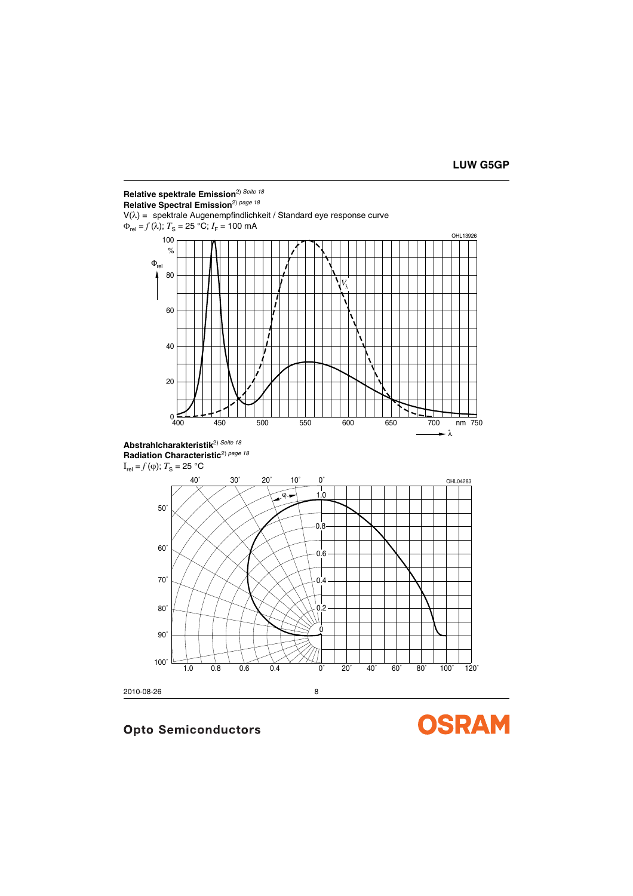

100˚

90˚

80˚

**OSRAM** 

2010-08-26 8

 $\Omega$ 

 $0.2$ 

1.0 0.8 0.6 0.4 0˚ 20˚ 40˚ 60˚ 80˚ 100˚ 120˚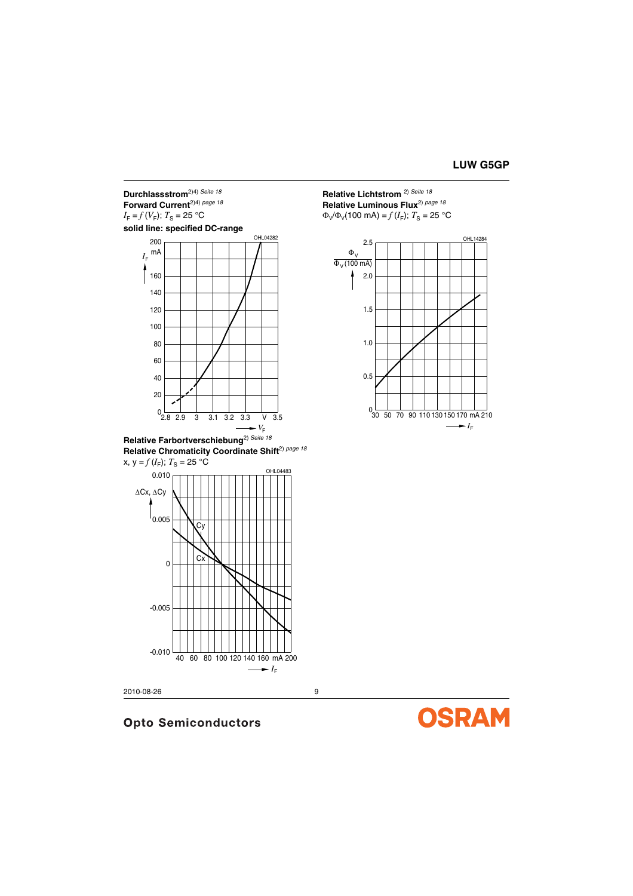## **Durchlassstrom**2)4) *[Seite](#page-17-5) <sup>18</sup>* **Forward Current**2)4) *[page](#page-17-5) <sup>18</sup>*  $I_F = f(V_F)$ ;  $T_S = 25$  °C

**solid line: specified DC-range**



**Relative Farbortverschiebung**2) *[Seite](#page-17-5) <sup>18</sup>* **Relative Chromaticity Coordinate Shift**2) *[page](#page-17-5) <sup>18</sup>*  $x, y = f(I_F); T_S = 25 °C$ 



2010-08-26 9

# **Opto Semiconductors**

**Relative Lichtstrom** 2) *[Seite](#page-17-5) <sup>18</sup>* **Relative Luminous Flux**2) *[page](#page-17-5) <sup>18</sup>*  $Φ<sub>V</sub>/Φ<sub>V</sub>(100 mA) = f(I<sub>F</sub>); T<sub>S</sub> = 25 °C$ 



**OSRAM**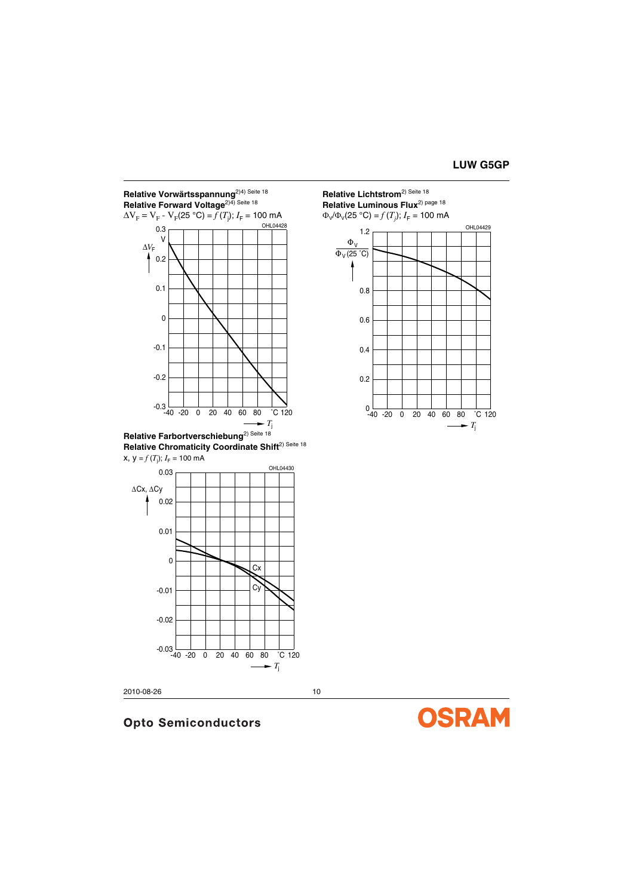

**Relative Chromaticity Coordinate Shift**<sup>2) Seite 18</sup>



2010-08-26 10

# **Opto Semiconductors**

**Relative Lichtstrom**2) Seite <sup>18</sup> **Relative Luminous Flux**2) page <sup>18</sup>



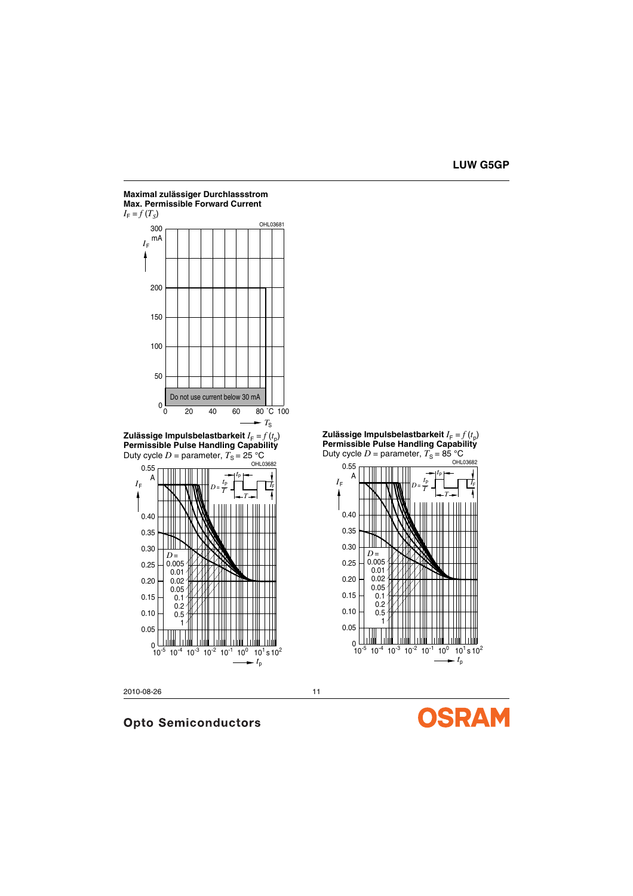

2010-08-26 11

**Opto Semiconductors** 



 $I_{\mathsf{F}}$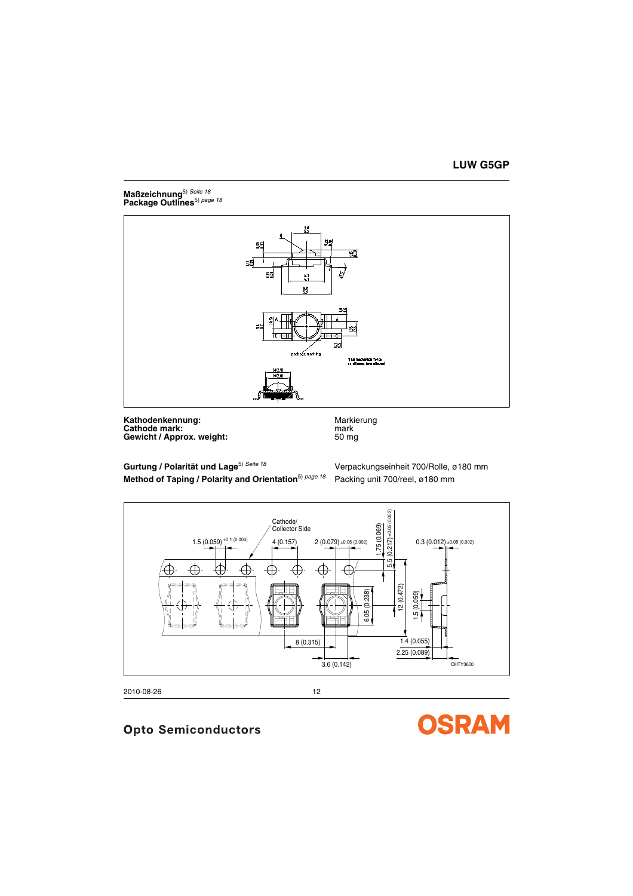## **Maßzeichnung**5) *[Seite](#page-17-6) <sup>18</sup>* **Package Outlines**5) *[page](#page-17-7) <sup>18</sup>*



**Kathodenkennung:** Markierung Markierung<br> **Cathode mark:** Markierung Markierung **Cathode mark:** mark<br> **Gewicht / Approx. weight:** example the mark of the state of the state of the state of the state of the state of the state of the state of the state of the state of the state of the state of the state **Gewicht / Approx. weight:** 

**Gurtung / Polarität und Lage**5) *[Seite](#page-17-6) <sup>18</sup>* Verpackungseinheit 700/Rolle, ø180 mm **Method of Taping / Polarity and Orientation**5) *[page](#page-17-7) <sup>18</sup>* Packing unit 700/reel, ø180 mm



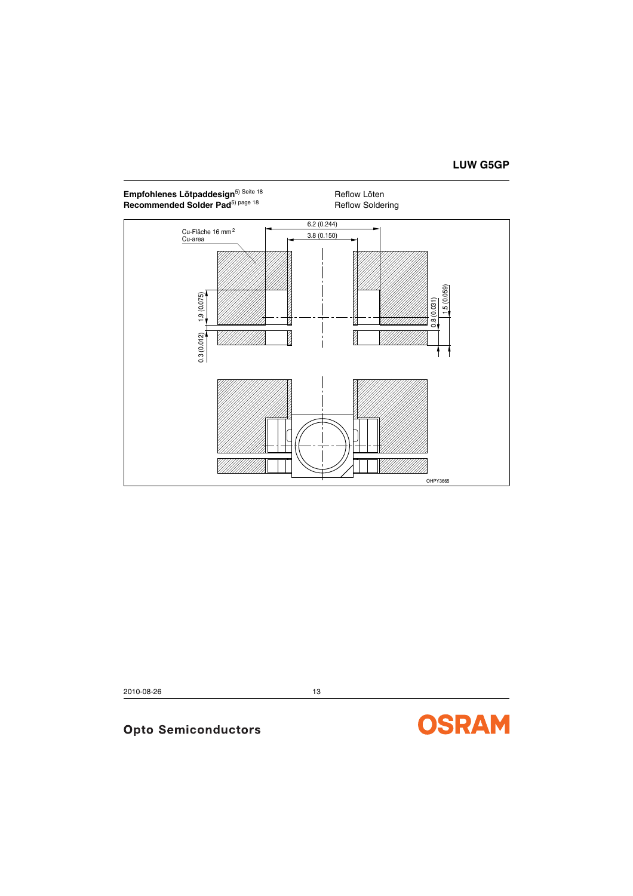# **LUW G5GP**

## Empfohlenes Lötpaddesign<sup>5) [Seite](#page-17-6) 18</sup> **Reflow Löten** Recommended Solder Pad<sup>5) [page](#page-17-7) 18</sup> Reflow Soldering



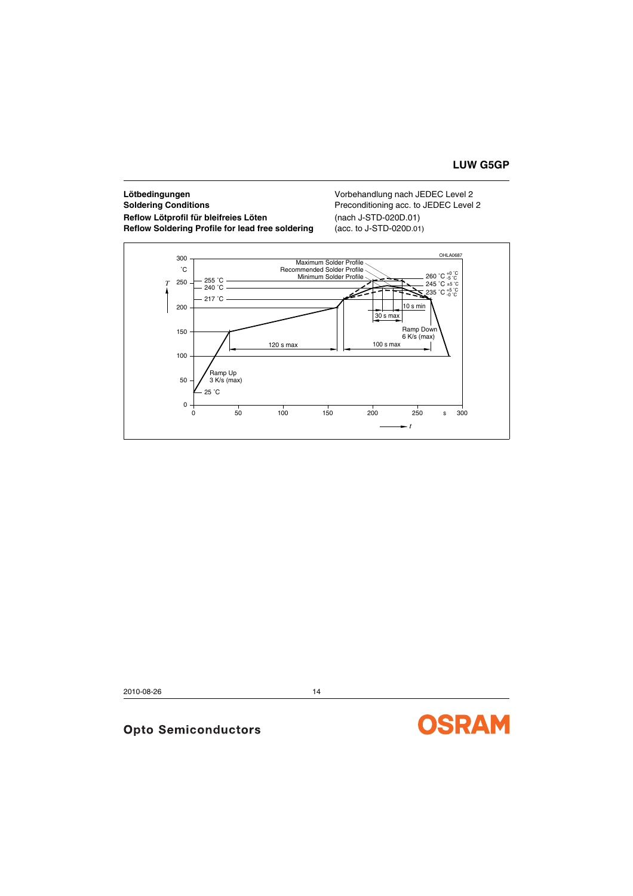## **Lötbedingungen** Vorbehandlung nach JEDEC Level 2 **Soldering Conditions Preconditioning acc. to JEDEC Level 2 Reflow Lötprofil für bleifreies Löten** (nach J-STD-020D.01) **Reflow Soldering Profile for lead free soldering** (acc. to J-STD-020D.01)



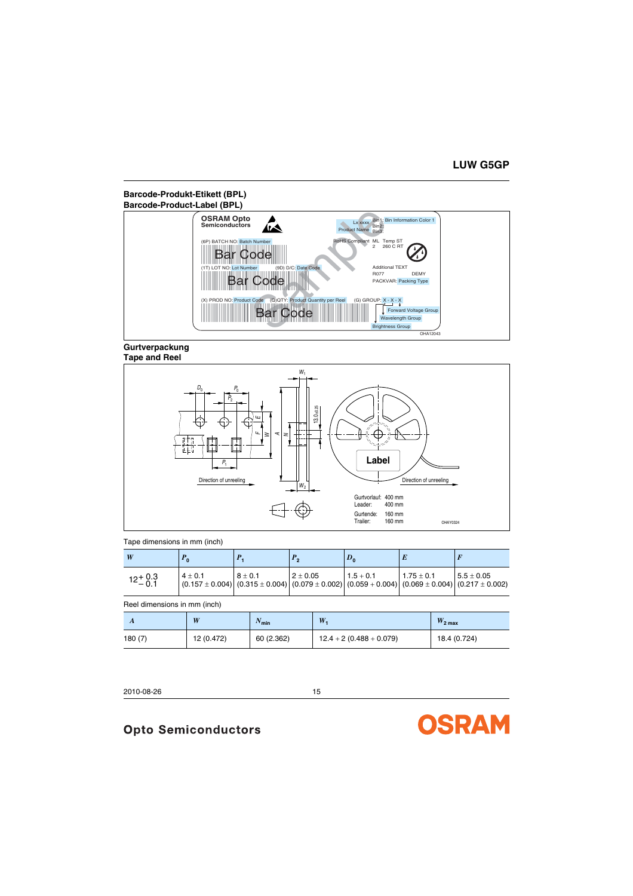## **Barcode-Produkt-Etikett (BPL) Barcode-Product-Label (BPL)**



#### **Gurtverpackung Tape and Reel**



### Tape dimensions in mm (inch)

| W                  | $\Omega$    |                                                                                                                                    |               | $D_{0}$     |                |              |
|--------------------|-------------|------------------------------------------------------------------------------------------------------------------------------------|---------------|-------------|----------------|--------------|
| $12^{+0.3}_{-0.1}$ | $4 \pm 0.1$ | $8 + 0.1$<br>$(0.157 \pm 0.004)$ $(0.315 \pm 0.004)$ $(0.079 \pm 0.002)$ $(0.059 + 0.004)$ $(0.069 \pm 0.004)$ $(0.217 \pm 0.002)$ | $12 \pm 0.05$ | $1.5 + 0.1$ | $1.75 \pm 0.1$ | $5.5 + 0.05$ |

#### Reel dimensions in mm (inch)

| A      | W          | $\frac{1}{2}$ min | W                         | $W_{2\text{ max}}$ |
|--------|------------|-------------------|---------------------------|--------------------|
| 180(7) | 12 (0.472) | 60 (2.362)        | $12.4 + 2(0.488 + 0.079)$ | 18.4 (0.724)       |

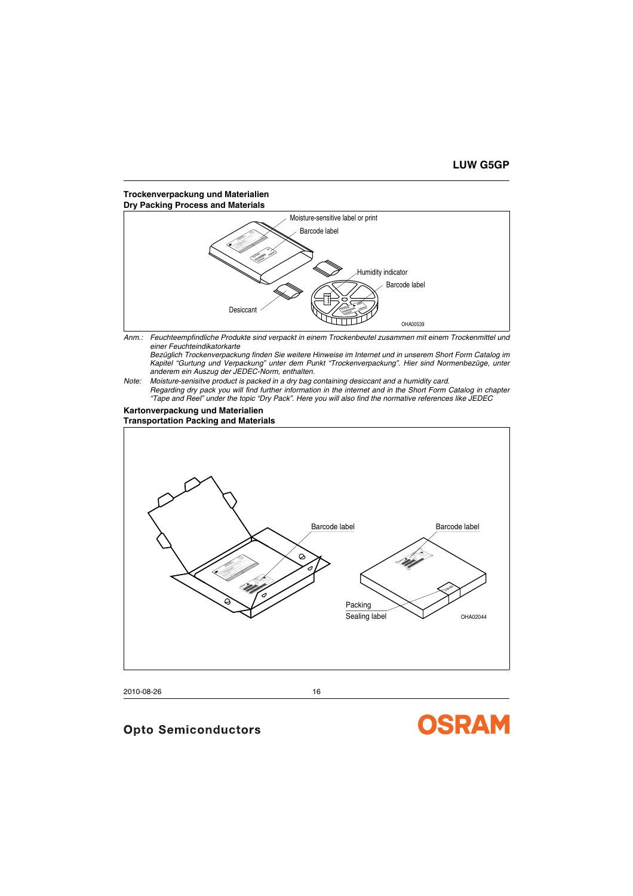## **Trockenverpackung und Materialien Dry Packing Process and Materials**



*Anm.: Feuchteempfindliche Produkte sind verpackt in einem Trockenbeutel zusammen mit einem Trockenmittel und einer Feuchteindikatorkarte*

*Bezüglich Trockenverpackung finden Sie weitere Hinweise im Internet und in unserem Short Form Catalog im Kapitel "Gurtung und Verpackung" unter dem Punkt "Trockenverpackung". Hier sind Normenbezüge, unter anderem ein Auszug der JEDEC-Norm, enthalten.*

*Note: Moisture-senisitve product is packed in a dry bag containing desiccant and a humidity card. Regarding dry pack you will find further information in the internet and in the Short Form Catalog in chapter "Tape and Reel" under the topic "Dry Pack". Here you will also find the normative references like JEDEC*

#### **Kartonverpackung und Materialien Transportation Packing and Materials**



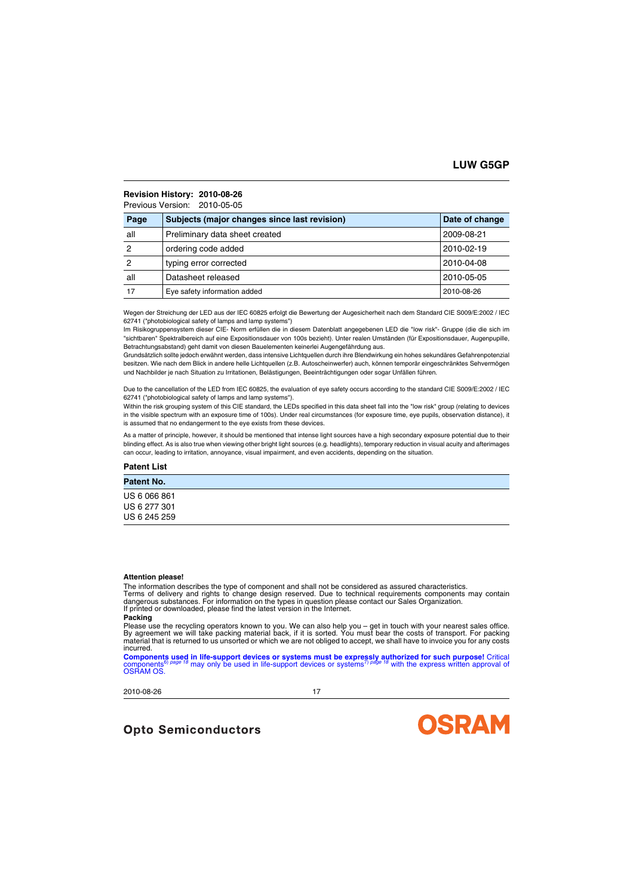## **Revision History: 2010-08-26**

Previous Version: 2010-05-05

| Page | Subjects (major changes since last revision) | Date of change |
|------|----------------------------------------------|----------------|
| all  | Preliminary data sheet created               | 2009-08-21     |
| 2    | ordering code added                          | 2010-02-19     |
| 2    | typing error corrected                       | 2010-04-08     |
| all  | Datasheet released                           | 2010-05-05     |
| 17   | Eye safety information added                 | 2010-08-26     |

Wegen der Streichung der LED aus der IEC 60825 erfolgt die Bewertung der Augesicherheit nach dem Standard CIE S009/E:2002 / IEC 62741 ("photobiological safety of lamps and lamp systems")

Im Risikogruppensystem dieser CIE- Norm erfüllen die in diesem Datenblatt angegebenen LED die "low risk"- Gruppe (die die sich im "sichtbaren" Spektralbereich auf eine Expositionsdauer von 100s bezieht). Unter realen Umständen (für Expositionsdauer, Augenpupille, Betrachtungsabstand) geht damit von diesen Bauelementen keinerlei Augengefährdung aus.

Grundsätzlich sollte jedoch erwähnt werden, dass intensive Lichtquellen durch ihre Blendwirkung ein hohes sekundäres Gefahrenpotenzial besitzen. Wie nach dem Blick in andere helle Lichtquellen (z.B. Autoscheinwerfer) auch, können temporär eingeschränktes Sehvermögen und Nachbilder je nach Situation zu Irritationen, Belästigungen, Beeinträchtigungen oder sogar Unfällen führen.

Due to the cancellation of the LED from IEC 60825, the evaluation of eye safety occurs according to the standard CIE S009/E:2002 / IEC 62741 ("photobiological safety of lamps and lamp systems").

Within the risk grouping system of this CIE standard, the LEDs specified in this data sheet fall into the "low risk" group (relating to devices in the visible spectrum with an exposure time of 100s). Under real circumstances (for exposure time, eye pupils, observation distance), it is assumed that no endangerment to the eye exists from these devices.

As a matter of principle, however, it should be mentioned that intense light sources have a high secondary exposure potential due to their blinding effect. As is also true when viewing other bright light sources (e.g. headlights), temporary reduction in visual acuity and afterimages can occur, leading to irritation, annoyance, visual impairment, and even accidents, depending on the situation.

#### **Patent List**

| Patent No.   |  |  |  |
|--------------|--|--|--|
| US 6 066 861 |  |  |  |
| US 6 277 301 |  |  |  |
| US 6 245 259 |  |  |  |

#### **Attention please!**

The information describes the type of component and shall not be considered as assured characteristics.

Terms of delivery and rights to change design reserved. Due to technical requirements components may contain dangerous substances. For information on the types in question please contact our Sales Organization.

If printed or downloaded, please find the latest version in the Internet.

#### **Packing**

Please use the recycling operators known to you. We can also help you – get in touch with your nearest sales office.<br>By agreement we will take packing material back, if it is sorted. You must bear the costs of transport. F material that is returned to us unsorted or which we are not obliged to accept, we shall have to invoice you for any costs incurred.

Components used in life-support devices or systems must be expressly authorized for such purpose! Critical<br>components<sup>6) [page](#page-17-7) 18</sup> may only be used in life-support devices or systems<sup>7) page 18</sup> with the express written app components<sup>6</sup><br>OSRAM OS.

2010-08-26 17